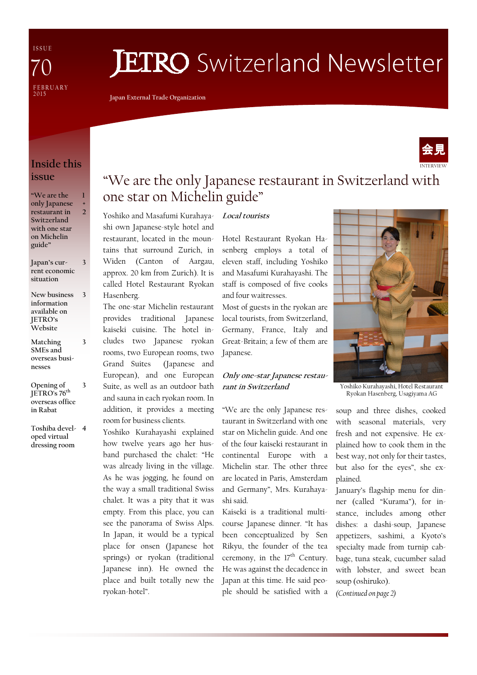I S S U E **FEBRUARY** 2 0 1 5 70

# **JETRO** Switzerland Newsletter

Japan External Trade Organization

Yoshiko and Masafumi Kurahayashi own Japanese-style hotel and restaurant, located in the mountains that surround Zurich, in Widen (Canton of Aargau, approx. 20 km from Zurich). It is called Hotel Restaurant Ryokan

one star on Michelin guide"

The one-star Michelin restaurant provides traditional Japanese kaiseki cuisine. The hotel includes two Japanese ryokan rooms, two European rooms, two Grand Suites (Japanese and European), and one European Suite, as well as an outdoor bath and sauna in each ryokan room. In addition, it provides a meeting

room for business clients.

ryokan-hotel".

Yoshiko Kurahayashi explained how twelve years ago her husband purchased the chalet: "He was already living in the village. As he was jogging, he found on the way a small traditional Swiss chalet. It was a pity that it was empty. From this place, you can see the panorama of Swiss Alps. In Japan, it would be a typical place for onsen (Japanese hot springs) or ryokan (traditional Japanese inn). He owned the place and built totally new the

Hasenberg.



### Inside this issue

| "We are the   |   |
|---------------|---|
| only Japanese | + |
| restaurant in | 2 |
| Switzerland   |   |
| with one star |   |
| on Michelin   |   |
| guide"        |   |

- Japan's current economic situation 3
- New business information available on JETRO's Website 3
- Matching SMEs and overseas businesses

3

3

- Opening of JETRO's 76<sup>th</sup> overseas office in Rabat
- Toshiba devel-4 oped virtual dressing room

#### Local tourists

Hotel Restaurant Ryokan Hasenberg employs a total of eleven staff, including Yoshiko and Masafumi Kurahayashi. The staff is composed of five cooks and four waitresses.

Most of guests in the ryokan are local tourists, from Switzerland, Germany, France, Italy and Great-Britain; a few of them are Japanese.

#### Only one-star Japanese restaurant in Switzerland

"We are the only Japanese restaurant in Switzerland with one star on Michelin guide. And one of the four kaiseki restaurant in continental Europe with a Michelin star. The other three are located in Paris, Amsterdam and Germany", Mrs. Kurahayashi said.

Kaiseki is a traditional multicourse Japanese dinner. "It has been conceptualized by Sen Rikyu, the founder of the tea ceremony, in the  $17<sup>th</sup>$  Century. He was against the decadence in Japan at this time. He said people should be satisfied with a



Yoshiko Kurahayashi, Hotel Restaurant Ryokan Hasenberg, Usagiyama AG

soup and three dishes, cooked with seasonal materials, very fresh and not expensive. He explained how to cook them in the best way, not only for their tastes, but also for the eyes", she explained.

January's flagship menu for dinner (called "Kurama"), for instance, includes among other dishes: a dashi-soup, Japanese appetizers, sashimi, a Kyoto's specialty made from turnip cabbage, tuna steak, cucumber salad with lobster, and sweet bean soup (oshiruko).

(Continued on page 2)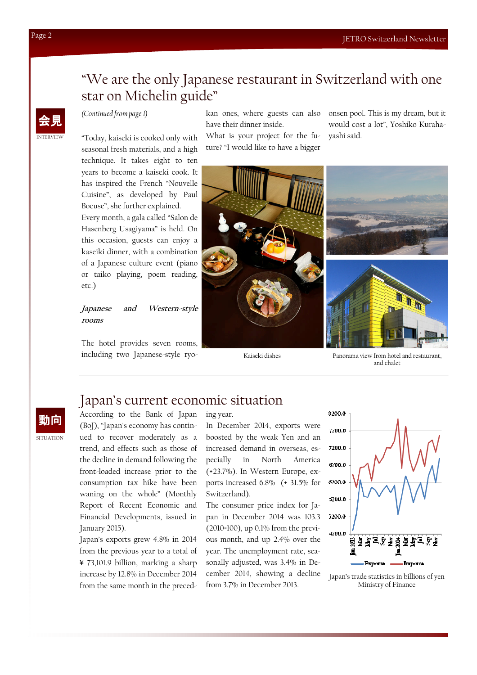### "We are the only Japanese restaurant in Switzerland with one star on Michelin guide"

(Continued from page 1)

kan ones, where guests can also have their dinner inside.

What is your project for the future? "I would like to have a bigger onsen pool. This is my dream, but it would cost a lot", Yoshiko Kurahayashi said.



#### Japanese and Western-style rooms

The hotel provides seven rooms, including two Japanese-style ryo-



Kaiseki dishes Panorama view from hotel and restaurant, and chalet

### Japan's current economic situation

According to the Bank of Japan (BoJ), "Japan's economy has continued to recover moderately as a trend, and effects such as those of the decline in demand following the front-loaded increase prior to the consumption tax hike have been waning on the whole" (Monthly Report of Recent Economic and Financial Developments, issued in January 2015).

Japan's exports grew 4.8% in 2014 from the previous year to a total of ¥ 73,101.9 billion, marking a sharp increase by 12.8% in December 2014 from the same month in the preced-

ing year.

In December 2014, exports were boosted by the weak Yen and an increased demand in overseas, especially in North America (+23.7%). In Western Europe, exports increased 6.8% (+ 31.5% for Switzerland).

The consumer price index for Japan in December 2014 was 103.3 (2010=100), up 0.1% from the previous month, and up 2.4% over the year. The unemployment rate, seasonally adjusted, was 3.4% in December 2014, showing a decline from 3.7% in December 2013.



Japan's trade statistics in billions of yen Ministry of Finance

INTERVIEW 会見

**SITUATION** 動向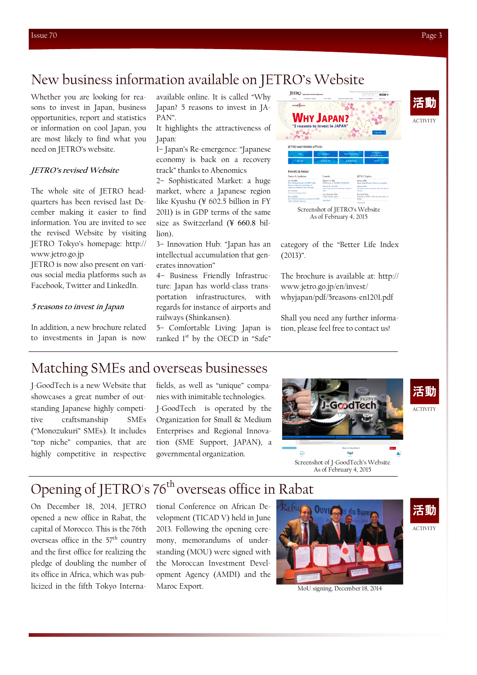### New business information available on JETRO's Website

Whether you are looking for reasons to invest in Japan, business opportunities, report and statistics or information on cool Japan, you are most likely to find what you need on JETRO's website.

#### JETRO's revised Website

The whole site of JETRO headquarters has been revised last December making it easier to find information. You are invited to see the revised Website by visiting JETRO Tokyo's homepage: http:// www.jetro.go.jp

JETRO is now also present on various social media platforms such as Facebook, Twitter and LinkedIn.

#### 5 reasons to invest in Japan

In addition, a new brochure related to investments in Japan is now

available online. It is called "Why Japan? 5 reasons to invest in JA-PAN".

It highlights the attractiveness of Japan:

1– Japan's Re-emergence: "Japanese economy is back on a recovery track" thanks to Abenomics

2– Sophisticated Market: a huge market, where a Japanese region like Kyushu (¥ 602.5 billion in FY 2011) is in GDP terms of the same size as Switzerland (¥ 660.8 billion).

3– Innovation Hub: "Japan has an intellectual accumulation that generates innovation"

4– Business Friendly Infrastructure: Japan has world-class transportation infrastructures, with regards for instance of airports and railways (Shinkansen).

5– Comfortable Living: Japan is ranked 1<sup>st</sup> by the OECD in "Safe"



Screenshot of JETRO's Website As of February 4, 2015

category of the "Better Life Index  $(2013)^{n}$ .

The brochure is available at: http:// www.jetro.go.jp/en/invest/ whyjapan/pdf/5reasons-en1201.pdf

Shall you need any further information, please feel free to contact us!

### Matching SMEs and overseas businesses

J-GoodTech is a new Website that showcases a great number of outstanding Japanese highly competitive craftsmanship SMEs ("Monozukuri" SMEs). It includes "top niche" companies, that are highly competitive in respective

fields, as well as "unique" companies with inimitable technologies. J-GoodTech is operated by the Organization for Small & Medium Enterprises and Regional Innovation (SME Support, JAPAN), a governmental organization.



Screenshot of J-GoodTech's Website As of February 4, 2015

## Opening of JETRO's 76<sup>th</sup> overseas office in Rabat

On December 18, 2014, JETRO opened a new office in Rabat, the capital of Morocco. This is the 76th overseas office in the  $57<sup>th</sup>$  country and the first office for realizing the pledge of doubling the number of its office in Africa, which was publicized in the fifth Tokyo Interna-

tional Conference on African Development (TICAD V) held in June 2013. Following the opening ceremony, memorandums of understanding (MOU) were signed with the Moroccan Investment Development Agency (AMDI) and the Maroc Export. MoU signing, December 18, 2014



ACTIVITY 活動

ACTIVITY

活動

ACTIVITY

活動